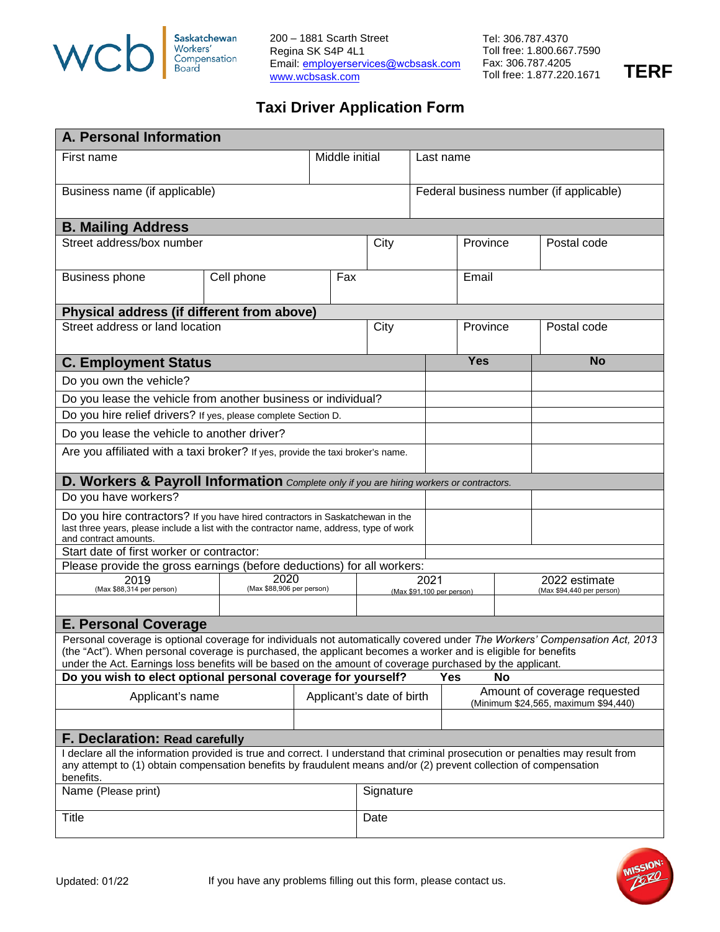

200 – 1881 Scarth Street Regina SK S4P 4L1 Email: [employerservices@wcbsask.com](mailto:employerservices@wcbask.com) [www.wcbsask.com](http://www.wcbsask.com/)

Tel: 306.787.4370 Toll free: 1.800.667.7590 Fax: 306.787.4205 Toll free: 1.877.220.1671 **TERF** 

## **Taxi Driver Application Form**

| A. Personal Information                                                                                                                                                                                                                                                                                                                                                                                                                       |            |                           |                |                           |                                         |                                      |                           |             |
|-----------------------------------------------------------------------------------------------------------------------------------------------------------------------------------------------------------------------------------------------------------------------------------------------------------------------------------------------------------------------------------------------------------------------------------------------|------------|---------------------------|----------------|---------------------------|-----------------------------------------|--------------------------------------|---------------------------|-------------|
| First name                                                                                                                                                                                                                                                                                                                                                                                                                                    |            |                           | Middle initial |                           | Last name                               |                                      |                           |             |
| Business name (if applicable)                                                                                                                                                                                                                                                                                                                                                                                                                 |            |                           |                |                           | Federal business number (if applicable) |                                      |                           |             |
| <b>B. Mailing Address</b>                                                                                                                                                                                                                                                                                                                                                                                                                     |            |                           |                |                           |                                         |                                      |                           |             |
| Street address/box number                                                                                                                                                                                                                                                                                                                                                                                                                     |            |                           |                | City                      |                                         | Province                             |                           | Postal code |
| <b>Business phone</b>                                                                                                                                                                                                                                                                                                                                                                                                                         | Cell phone |                           | Fax            |                           |                                         | Email                                |                           |             |
| Physical address (if different from above)                                                                                                                                                                                                                                                                                                                                                                                                    |            |                           |                |                           |                                         |                                      |                           |             |
| Street address or land location                                                                                                                                                                                                                                                                                                                                                                                                               |            |                           |                | City                      |                                         | Province                             |                           | Postal code |
| <b>C. Employment Status</b>                                                                                                                                                                                                                                                                                                                                                                                                                   |            |                           |                |                           |                                         | <b>Yes</b>                           |                           | <b>No</b>   |
| Do you own the vehicle?                                                                                                                                                                                                                                                                                                                                                                                                                       |            |                           |                |                           |                                         |                                      |                           |             |
| Do you lease the vehicle from another business or individual?                                                                                                                                                                                                                                                                                                                                                                                 |            |                           |                |                           |                                         |                                      |                           |             |
| Do you hire relief drivers? If yes, please complete Section D.                                                                                                                                                                                                                                                                                                                                                                                |            |                           |                |                           |                                         |                                      |                           |             |
| Do you lease the vehicle to another driver?                                                                                                                                                                                                                                                                                                                                                                                                   |            |                           |                |                           |                                         |                                      |                           |             |
| Are you affiliated with a taxi broker? If yes, provide the taxi broker's name.                                                                                                                                                                                                                                                                                                                                                                |            |                           |                |                           |                                         |                                      |                           |             |
| D. Workers & Payroll Information Complete only if you are hiring workers or contractors.                                                                                                                                                                                                                                                                                                                                                      |            |                           |                |                           |                                         |                                      |                           |             |
| Do you have workers?                                                                                                                                                                                                                                                                                                                                                                                                                          |            |                           |                |                           |                                         |                                      |                           |             |
| Do you hire contractors? If you have hired contractors in Saskatchewan in the<br>last three years, please include a list with the contractor name, address, type of work<br>and contract amounts.                                                                                                                                                                                                                                             |            |                           |                |                           |                                         |                                      |                           |             |
| Start date of first worker or contractor:                                                                                                                                                                                                                                                                                                                                                                                                     |            |                           |                |                           |                                         |                                      |                           |             |
| Please provide the gross earnings (before deductions) for all workers:<br>$\sqrt{2020}$<br>2019<br>2021<br>2022 estimate                                                                                                                                                                                                                                                                                                                      |            |                           |                |                           |                                         |                                      |                           |             |
| (Max \$88,314 per person)                                                                                                                                                                                                                                                                                                                                                                                                                     |            | (Max \$88,906 per person) |                |                           | (Max \$91.100 per person)               |                                      | (Max \$94,440 per person) |             |
| <b>E. Personal Coverage</b>                                                                                                                                                                                                                                                                                                                                                                                                                   |            |                           |                |                           |                                         |                                      |                           |             |
| Personal coverage is optional coverage for individuals not automatically covered under The Workers' Compensation Act, 2013<br>(the "Act"). When personal coverage is purchased, the applicant becomes a worker and is eligible for benefits<br>under the Act. Earnings loss benefits will be based on the amount of coverage purchased by the applicant.<br>Do you wish to elect optional personal coverage for yourself?<br><b>Yes</b><br>No |            |                           |                |                           |                                         |                                      |                           |             |
| Applicant's name                                                                                                                                                                                                                                                                                                                                                                                                                              |            |                           |                | Applicant's date of birth |                                         | Amount of coverage requested         |                           |             |
|                                                                                                                                                                                                                                                                                                                                                                                                                                               |            |                           |                |                           |                                         | (Minimum \$24,565, maximum \$94,440) |                           |             |
| F. Declaration: Read carefully                                                                                                                                                                                                                                                                                                                                                                                                                |            |                           |                |                           |                                         |                                      |                           |             |
| I declare all the information provided is true and correct. I understand that criminal prosecution or penalties may result from<br>any attempt to (1) obtain compensation benefits by fraudulent means and/or (2) prevent collection of compensation<br>benefits.                                                                                                                                                                             |            |                           |                |                           |                                         |                                      |                           |             |
| Name (Please print)                                                                                                                                                                                                                                                                                                                                                                                                                           |            |                           |                | Signature                 |                                         |                                      |                           |             |
| <b>Title</b>                                                                                                                                                                                                                                                                                                                                                                                                                                  |            |                           |                | Date                      |                                         |                                      |                           |             |